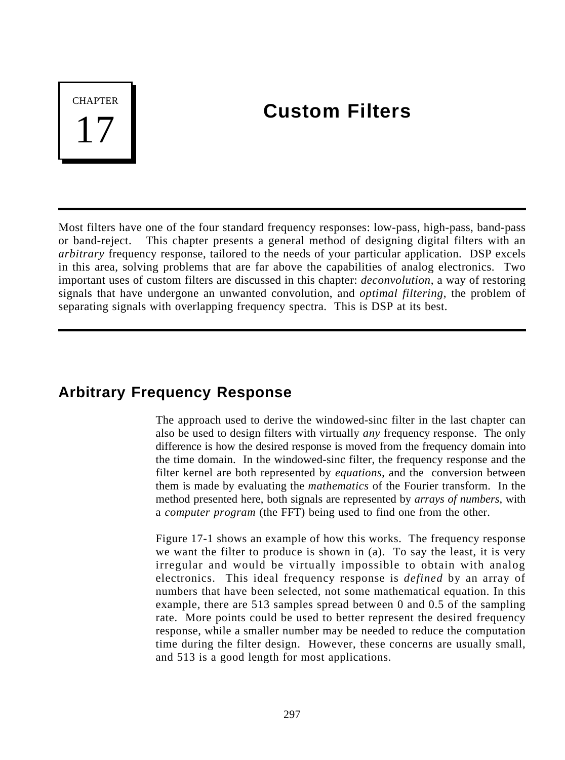# **CHAPTER**

## **Custom Filters**

Most filters have one of the four standard frequency responses: low-pass, high-pass, band-pass or band-reject. This chapter presents a general method of designing digital filters with an *arbitrary* frequency response, tailored to the needs of your particular application. DSP excels in this area, solving problems that are far above the capabilities of analog electronics. Two important uses of custom filters are discussed in this chapter: *deconvolution*, a way of restoring signals that have undergone an unwanted convolution, and *optimal filtering*, the problem of separating signals with overlapping frequency spectra. This is DSP at its best.

## **Arbitrary Frequency Response**

The approach used to derive the windowed-sinc filter in the last chapter can also be used to design filters with virtually *any* frequency response. The only difference is how the desired response is moved from the frequency domain into the time domain. In the windowed-sinc filter, the frequency response and the filter kernel are both represented by *equations*, and the conversion between them is made by evaluating the *mathematics* of the Fourier transform. In the method presented here, both signals are represented by *arrays of numbers*, with a *computer program* (the FFT) being used to find one from the other.

Figure 17-1 shows an example of how this works. The frequency response we want the filter to produce is shown in (a). To say the least, it is very irregular and would be virtually impossible to obtain with analog electronics. This ideal frequency response is *defined* by an array of numbers that have been selected, not some mathematical equation. In this example, there are 513 samples spread between 0 and 0.5 of the sampling rate. More points could be used to better represent the desired frequency response, while a smaller number may be needed to reduce the computation time during the filter design. However, these concerns are usually small, and 513 is a good length for most applications.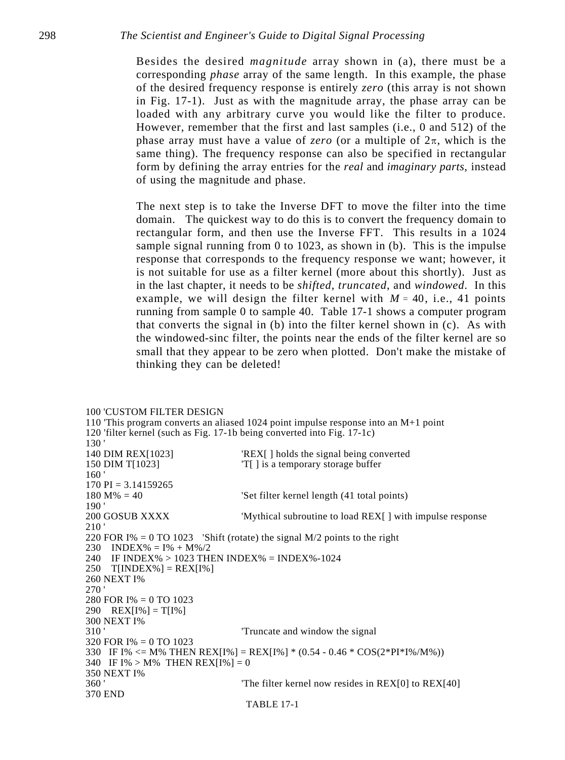Besides the desired *magnitude* array shown in (a), there must be a corresponding *phase* array of the same length. In this example, the phase of the desired frequency response is entirely *zero* (this array is not shown in Fig. 17-1). Just as with the magnitude array, the phase array can be loaded with any arbitrary curve you would like the filter to produce. However, remember that the first and last samples (i.e., 0 and 512) of the phase array must have a value of *zero* (or a multiple of  $2\pi$ , which is the same thing). The frequency response can also be specified in rectangular form by defining the array entries for the *real* and *imaginary parts*, instead of using the magnitude and phase.

The next step is to take the Inverse DFT to move the filter into the time domain. The quickest way to do this is to convert the frequency domain to rectangular form, and then use the Inverse FFT. This results in a 1024 sample signal running from 0 to 1023, as shown in (b). This is the impulse response that corresponds to the frequency response we want; however, it is not suitable for use as a filter kernel (more about this shortly). Just as in the last chapter, it needs to be *shifted*, *truncated*, and *windowed*. In this example, we will design the filter kernel with  $M = 40$ , i.e., 41 points running from sample 0 to sample 40. Table 17-1 shows a computer program that converts the signal in (b) into the filter kernel shown in (c). As with the windowed-sinc filter, the points near the ends of the filter kernel are so small that they appear to be zero when plotted. Don't make the mistake of thinking they can be deleted!

```
100 'CUSTOM FILTER DESIGN 
110 'This program converts an aliased 1024 point impulse response into an M+1 point
120 'filter kernel (such as Fig. 17-1b being converted into Fig. 17-1c) 
130 '
140 DIM REX[1023] 'REX[ ] holds the signal being converted 
150 DIM T[1023] \overline{1} is a temporary storage buffer
160 '
170 PI = 3.14159265<br>180 M% = 40'Set filter kernel length (41 total points)
190 ' 
200 GOSUB XXXX 'Mythical subroutine to load REX[ ] with impulse response
210 '
220 FOR I% = 0 TO 1023 Shift (rotate) the signal M/2 points to the right
230 INDEX% = I% + M\%/2240 IF INDEX% > 1023 THEN INDEX% = INDEX%-1024
250 T[INDEX%] = REX[I%]
260 NEXT I%
270 '
280 FOR I% = 0 TO 1023 
290 REX[I\%] = T[I\%]300 NEXT I%
                                Truncate and window the signal
320 FOR I% = 0 TO 1023
330 IF 1\% \leq M\% THEN REX[1%] = REX[1%] * (0.54 - 0.46 * COS(2*PI*I%/M%))
340 IF I\% > M\% THEN REX[I\%] = 0
350 NEXT I%
360 ' 'The filter kernel now resides in REX[0] to REX[40]
370 END
```

```
 TABLE 17-1
```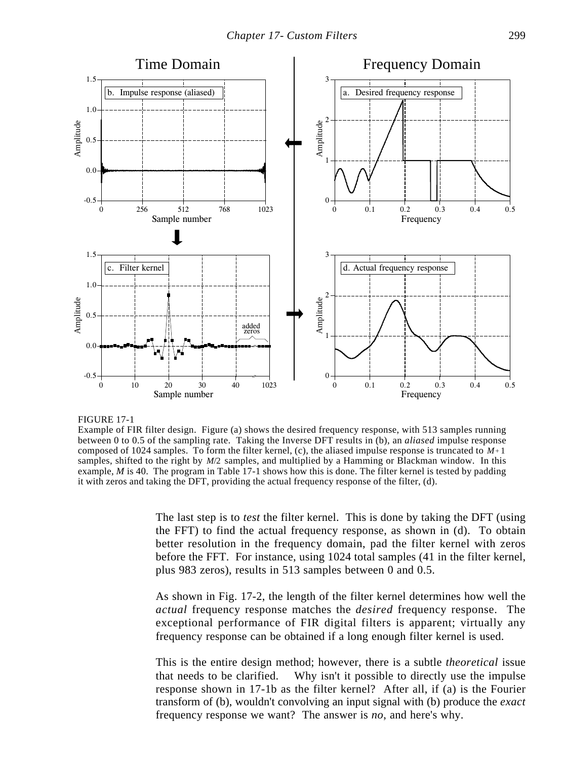

Example of FIR filter design. Figure (a) shows the desired frequency response, with 513 samples running between 0 to 0.5 of the sampling rate. Taking the Inverse DFT results in (b), an *aliased* impulse response composed of 1024 samples. To form the filter kernel, (c), the aliased impulse response is truncated to  $M+1$ samples, shifted to the right by *M*/2 samples, and multiplied by a Hamming or Blackman window. In this example, *M* is 40. The program in Table 17-1 shows how this is done. The filter kernel is tested by padding it with zeros and taking the DFT, providing the actual frequency response of the filter, (d).

The last step is to *test* the filter kernel. This is done by taking the DFT (using the FFT) to find the actual frequency response, as shown in (d). To obtain better resolution in the frequency domain, pad the filter kernel with zeros before the FFT. For instance, using 1024 total samples (41 in the filter kernel, plus 983 zeros), results in 513 samples between 0 and 0.5.

As shown in Fig. 17-2, the length of the filter kernel determines how well the *actual* frequency response matches the *desired* frequency response. The exceptional performance of FIR digital filters is apparent; virtually any frequency response can be obtained if a long enough filter kernel is used.

This is the entire design method; however, there is a subtle *theoretical* issue that needs to be clarified. Why isn't it possible to directly use the impulse response shown in 17-1b as the filter kernel? After all, if (a) is the Fourier transform of (b), wouldn't convolving an input signal with (b) produce the *exact* frequency response we want? The answer is *no*, and here's why.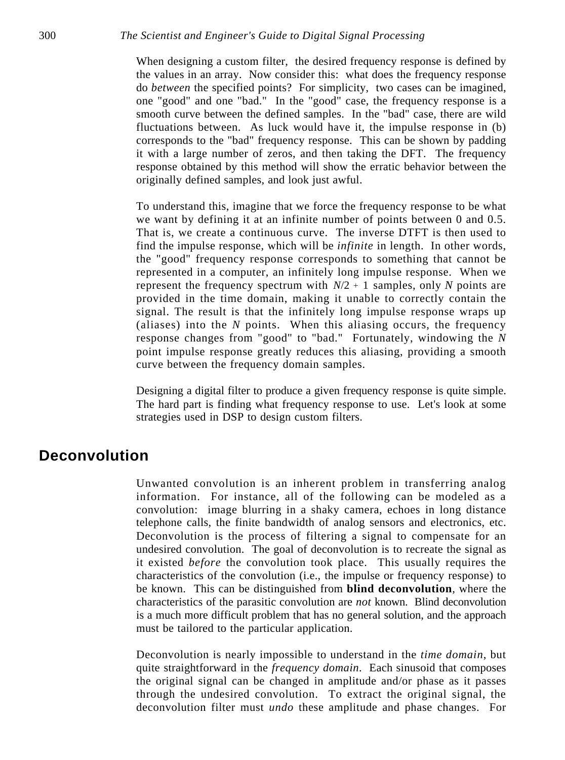When designing a custom filter, the desired frequency response is defined by the values in an array. Now consider this: what does the frequency response do *between* the specified points? For simplicity, two cases can be imagined, one "good" and one "bad." In the "good" case, the frequency response is a smooth curve between the defined samples. In the "bad" case, there are wild fluctuations between. As luck would have it, the impulse response in (b) corresponds to the "bad" frequency response. This can be shown by padding it with a large number of zeros, and then taking the DFT. The frequency response obtained by this method will show the erratic behavior between the originally defined samples, and look just awful.

To understand this, imagine that we force the frequency response to be what we want by defining it at an infinite number of points between 0 and 0.5. That is, we create a continuous curve. The inverse DTFT is then used to find the impulse response, which will be *infinite* in length. In other words, the "good" frequency response corresponds to something that cannot be represented in a computer, an infinitely long impulse response. When we represent the frequency spectrum with  $N/2 + 1$  samples, only *N* points are provided in the time domain, making it unable to correctly contain the signal. The result is that the infinitely long impulse response wraps up (aliases) into the *N* points. When this aliasing occurs, the frequency response changes from "good" to "bad." Fortunately, windowing the *N* point impulse response greatly reduces this aliasing, providing a smooth curve between the frequency domain samples.

Designing a digital filter to produce a given frequency response is quite simple. The hard part is finding what frequency response to use. Let's look at some strategies used in DSP to design custom filters.

## **Deconvolution**

Unwanted convolution is an inherent problem in transferring analog information. For instance, all of the following can be modeled as a convolution: image blurring in a shaky camera, echoes in long distance telephone calls, the finite bandwidth of analog sensors and electronics, etc. Deconvolution is the process of filtering a signal to compensate for an undesired convolution. The goal of deconvolution is to recreate the signal as it existed *before* the convolution took place. This usually requires the characteristics of the convolution (i.e., the impulse or frequency response) to be known. This can be distinguished from **blind deconvolution**, where the characteristics of the parasitic convolution are *not* known. Blind deconvolution is a much more difficult problem that has no general solution, and the approach must be tailored to the particular application.

Deconvolution is nearly impossible to understand in the *time domain*, but quite straightforward in the *frequency domain*. Each sinusoid that composes the original signal can be changed in amplitude and/or phase as it passes through the undesired convolution. To extract the original signal, the deconvolution filter must *undo* these amplitude and phase changes. For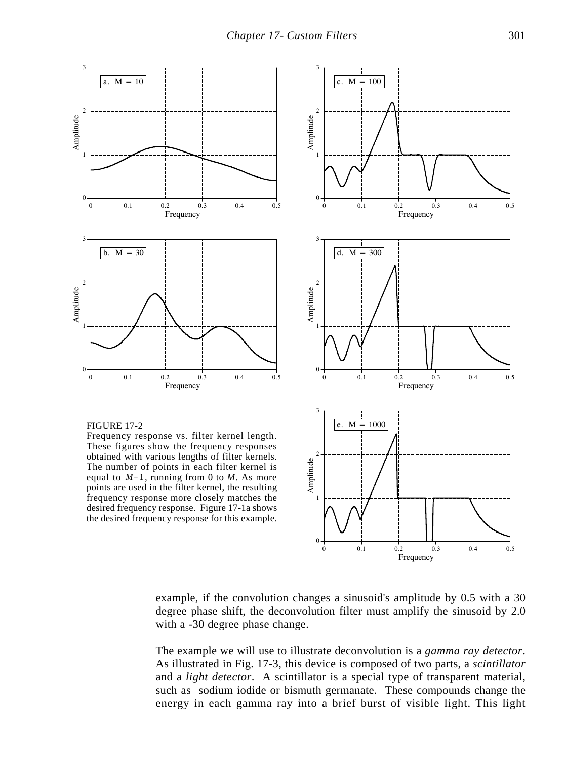3

c.  $M = 100$ 





FIGURE 17-2

Frequency response vs. filter kernel length. These figures show the frequency responses obtained with various lengths of filter kernels. The number of points in each filter kernel is equal to  $M+1$ , running from 0 to  $M$ . As more points are used in the filter kernel, the resulting frequency response more closely matches the desired frequency response. Figure 17-1a shows the desired frequency response for this example.

example, if the convolution changes a sinusoid's amplitude by 0.5 with a 30 degree phase shift, the deconvolution filter must amplify the sinusoid by 2.0 with a -30 degree phase change.

The example we will use to illustrate deconvolution is a *gamma ray detector*. As illustrated in Fig. 17-3, this device is composed of two parts, a *scintillator* and a *light detector*. A scintillator is a special type of transparent material, such as sodium iodide or bismuth germanate. These compounds change the energy in each gamma ray into a brief burst of visible light. This light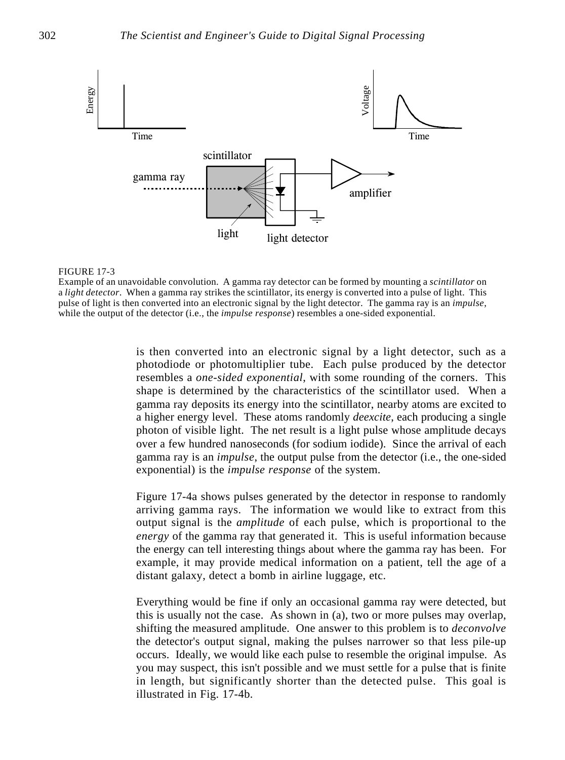

Example of an unavoidable convolution. A gamma ray detector can be formed by mounting a *scintillator* on a *light detector*. When a gamma ray strikes the scintillator, its energy is converted into a pulse of light. This pulse of light is then converted into an electronic signal by the light detector. The gamma ray is an *impulse*,

is then converted into an electronic signal by a light detector, such as a photodiode or photomultiplier tube. Each pulse produced by the detector resembles a *one-sided exponential*, with some rounding of the corners. This shape is determined by the characteristics of the scintillator used. When a gamma ray deposits its energy into the scintillator, nearby atoms are excited to a higher energy level. These atoms randomly *deexcite*, each producing a single photon of visible light. The net result is a light pulse whose amplitude decays over a few hundred nanoseconds (for sodium iodide). Since the arrival of each gamma ray is an *impulse*, the output pulse from the detector (i.e., the one-sided exponential) is the *impulse response* of the system.

Figure 17-4a shows pulses generated by the detector in response to randomly arriving gamma rays. The information we would like to extract from this output signal is the *amplitude* of each pulse, which is proportional to the *energy* of the gamma ray that generated it. This is useful information because the energy can tell interesting things about where the gamma ray has been. For example, it may provide medical information on a patient, tell the age of a distant galaxy, detect a bomb in airline luggage, etc.

Everything would be fine if only an occasional gamma ray were detected, but this is usually not the case. As shown in (a), two or more pulses may overlap, shifting the measured amplitude. One answer to this problem is to *deconvolve* the detector's output signal, making the pulses narrower so that less pile-up occurs. Ideally, we would like each pulse to resemble the original impulse. As you may suspect, this isn't possible and we must settle for a pulse that is finite in length, but significantly shorter than the detected pulse. This goal is illustrated in Fig. 17-4b.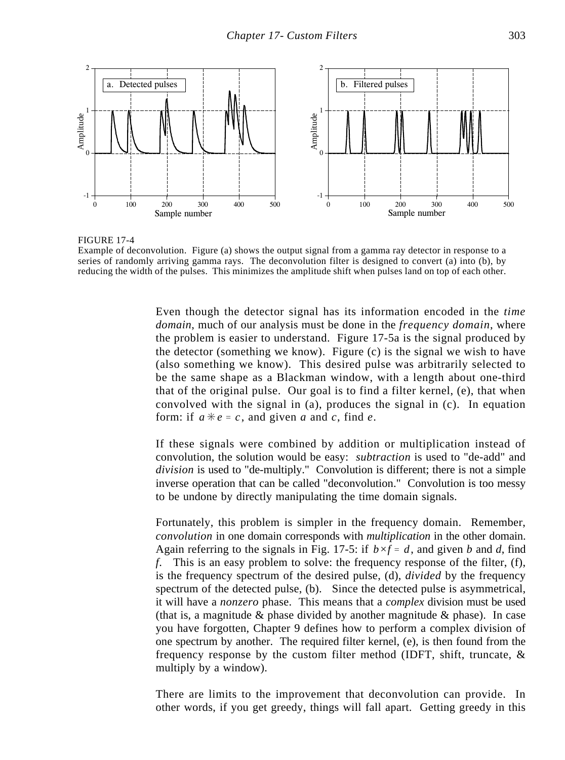

FIGURE 17-4 Example of deconvolution. Figure (a) shows the output signal from a gamma ray detector in response to a series of randomly arriving gamma rays. The deconvolution filter is designed to convert (a) into (b), by

Even though the detector signal has its information encoded in the *time domain*, much of our analysis must be done in the *frequency domain*, where the problem is easier to understand. Figure 17-5a is the signal produced by the detector (something we know). Figure (c) is the signal we wish to have (also something we know). This desired pulse was arbitrarily selected to be the same shape as a Blackman window, with a length about one-third that of the original pulse. Our goal is to find a filter kernel, (e), that when convolved with the signal in  $(a)$ , produces the signal in  $(c)$ . In equation form: if  $a * e = c$ , and given *a* and *c*, find *e*.

If these signals were combined by addition or multiplication instead of convolution, the solution would be easy: *subtraction* is used to "de-add" and *division* is used to "de-multiply." Convolution is different; there is not a simple inverse operation that can be called "deconvolution." Convolution is too messy to be undone by directly manipulating the time domain signals.

Fortunately, this problem is simpler in the frequency domain. Remember, *convolution* in one domain corresponds with *multiplication* in the other domain. Again referring to the signals in Fig. 17-5: if  $b \times f = d$ , and given *b* and *d*, find *f*. This is an easy problem to solve: the frequency response of the filter, (f), is the frequency spectrum of the desired pulse, (d), *divided* by the frequency spectrum of the detected pulse, (b). Since the detected pulse is asymmetrical, it will have a *nonzero* phase. This means that a *complex* division must be used (that is, a magnitude  $\&$  phase divided by another magnitude  $\&$  phase). In case you have forgotten, Chapter 9 defines how to perform a complex division of one spectrum by another. The required filter kernel, (e), is then found from the frequency response by the custom filter method (IDFT, shift, truncate,  $\&$ multiply by a window).

There are limits to the improvement that deconvolution can provide. In other words, if you get greedy, things will fall apart. Getting greedy in this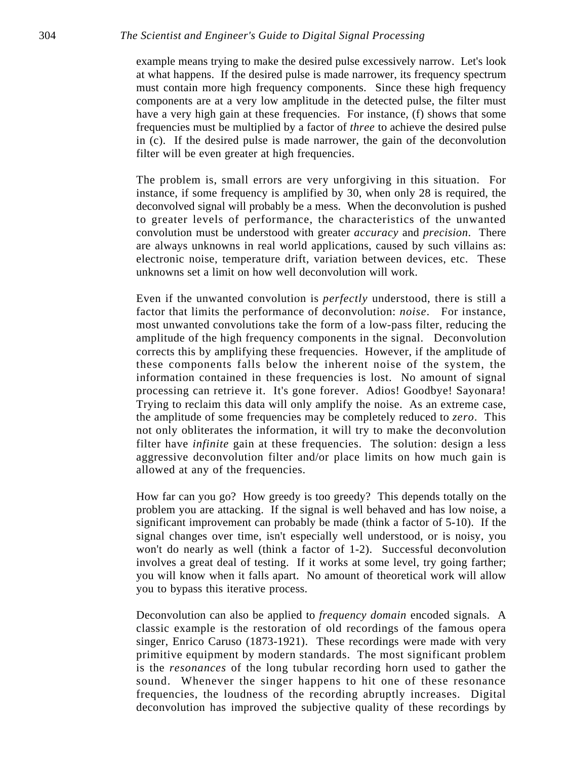example means trying to make the desired pulse excessively narrow. Let's look at what happens. If the desired pulse is made narrower, its frequency spectrum must contain more high frequency components. Since these high frequency components are at a very low amplitude in the detected pulse, the filter must have a very high gain at these frequencies. For instance, (f) shows that some frequencies must be multiplied by a factor of *three* to achieve the desired pulse in (c). If the desired pulse is made narrower, the gain of the deconvolution filter will be even greater at high frequencies.

The problem is, small errors are very unforgiving in this situation. For instance, if some frequency is amplified by 30, when only 28 is required, the deconvolved signal will probably be a mess. When the deconvolution is pushed to greater levels of performance, the characteristics of the unwanted convolution must be understood with greater *accuracy* and *precision*. There are always unknowns in real world applications, caused by such villains as: electronic noise, temperature drift, variation between devices, etc. These unknowns set a limit on how well deconvolution will work.

Even if the unwanted convolution is *perfectly* understood, there is still a factor that limits the performance of deconvolution: *noise*. For instance, most unwanted convolutions take the form of a low-pass filter, reducing the amplitude of the high frequency components in the signal. Deconvolution corrects this by amplifying these frequencies. However, if the amplitude of these components falls below the inherent noise of the system, the information contained in these frequencies is lost. No amount of signal processing can retrieve it. It's gone forever. Adios! Goodbye! Sayonara! Trying to reclaim this data will only amplify the noise. As an extreme case, the amplitude of some frequencies may be completely reduced to *zero*. This not only obliterates the information, it will try to make the deconvolution filter have *infinite* gain at these frequencies. The solution: design a less aggressive deconvolution filter and/or place limits on how much gain is allowed at any of the frequencies.

How far can you go? How greedy is too greedy? This depends totally on the problem you are attacking. If the signal is well behaved and has low noise, a significant improvement can probably be made (think a factor of 5-10). If the signal changes over time, isn't especially well understood, or is noisy, you won't do nearly as well (think a factor of 1-2). Successful deconvolution involves a great deal of testing. If it works at some level, try going farther; you will know when it falls apart. No amount of theoretical work will allow you to bypass this iterative process.

Deconvolution can also be applied to *frequency domain* encoded signals. A classic example is the restoration of old recordings of the famous opera singer, Enrico Caruso (1873-1921). These recordings were made with very primitive equipment by modern standards. The most significant problem is the *resonances* of the long tubular recording horn used to gather the sound. Whenever the singer happens to hit one of these resonance frequencies, the loudness of the recording abruptly increases. Digital deconvolution has improved the subjective quality of these recordings by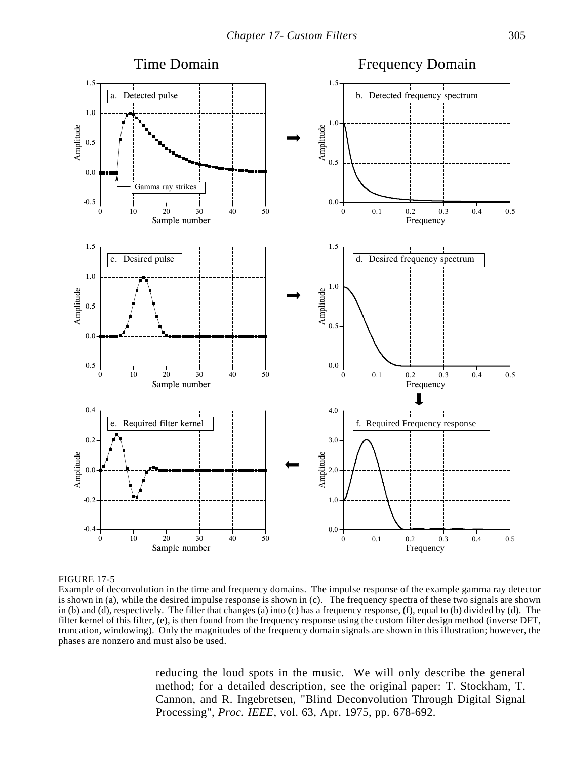

Example of deconvolution in the time and frequency domains. The impulse response of the example gamma ray detector is shown in (a), while the desired impulse response is shown in (c). The frequency spectra of these two signals are shown in (b) and (d), respectively. The filter that changes (a) into (c) has a frequency response, (f), equal to (b) divided by (d). The filter kernel of this filter, (e), is then found from the frequency response using the custom filter design method (inverse DFT, truncation, windowing). Only the magnitudes of the frequency domain signals are shown in this illustration; however, the

reducing the loud spots in the music. We will only describe the general method; for a detailed description, see the original paper: T. Stockham, T. Cannon, and R. Ingebretsen, "Blind Deconvolution Through Digital Signal Processing", *Proc. IEEE*, vol. 63, Apr. 1975, pp. 678-692.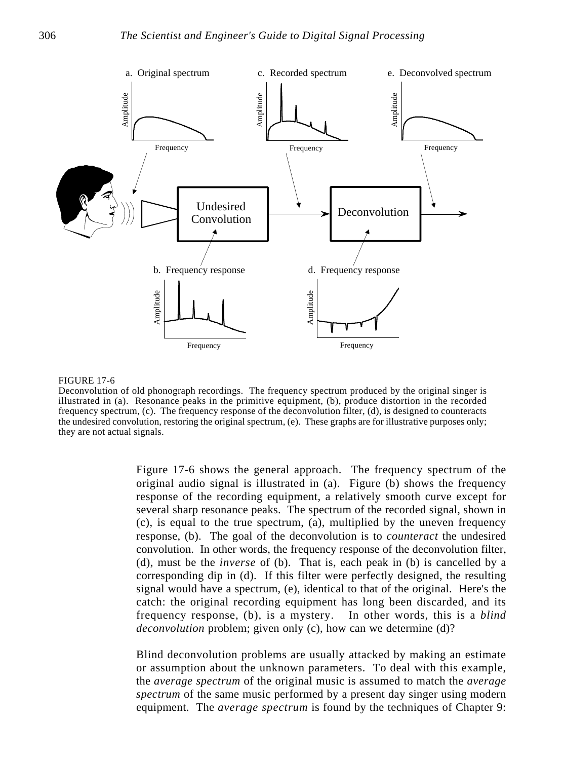

Deconvolution of old phonograph recordings. The frequency spectrum produced by the original singer is illustrated in (a). Resonance peaks in the primitive equipment, (b), produce distortion in the recorded frequency spectrum, (c). The frequency response of the deconvolution filter, (d), is designed to counteracts the undesired convolution, restoring the original spectrum, (e). These graphs are for illustrative purposes only; they are not actual signals.

Figure 17-6 shows the general approach. The frequency spectrum of the original audio signal is illustrated in (a). Figure (b) shows the frequency response of the recording equipment, a relatively smooth curve except for several sharp resonance peaks. The spectrum of the recorded signal, shown in (c), is equal to the true spectrum, (a), multiplied by the uneven frequency response, (b). The goal of the deconvolution is to *counteract* the undesired convolution. In other words, the frequency response of the deconvolution filter, (d), must be the *inverse* of (b). That is, each peak in (b) is cancelled by a corresponding dip in (d). If this filter were perfectly designed, the resulting signal would have a spectrum, (e), identical to that of the original. Here's the catch: the original recording equipment has long been discarded, and its frequency response, (b), is a mystery. In other words, this is a *blind deconvolution* problem; given only (c), how can we determine (d)?

Blind deconvolution problems are usually attacked by making an estimate or assumption about the unknown parameters. To deal with this example, the *average spectrum* of the original music is assumed to match the *average spectrum* of the same music performed by a present day singer using modern equipment. The *average spectrum* is found by the techniques of Chapter 9: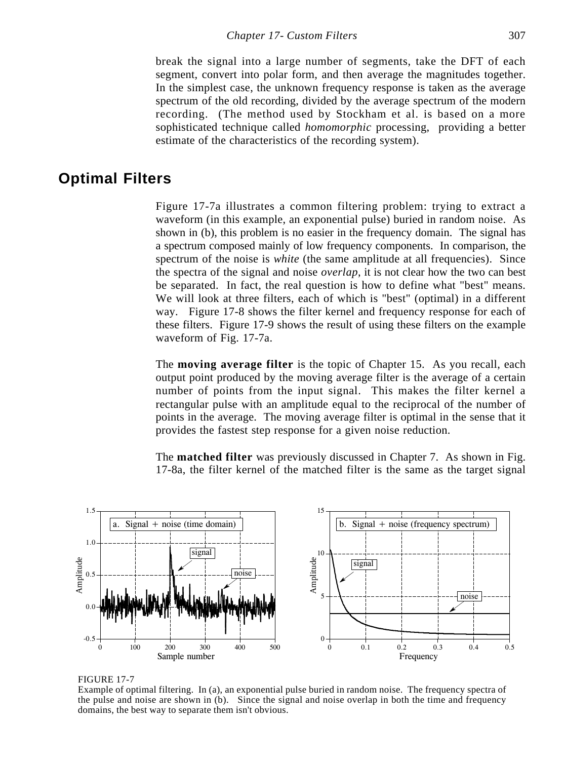break the signal into a large number of segments, take the DFT of each segment, convert into polar form, and then average the magnitudes together. In the simplest case, the unknown frequency response is taken as the average spectrum of the old recording, divided by the average spectrum of the modern recording. (The method used by Stockham et al. is based on a more sophisticated technique called *homomorphic* processing, providing a better estimate of the characteristics of the recording system).

## **Optimal Filters**

Figure 17-7a illustrates a common filtering problem: trying to extract a waveform (in this example, an exponential pulse) buried in random noise. As shown in (b), this problem is no easier in the frequency domain. The signal has a spectrum composed mainly of low frequency components. In comparison, the spectrum of the noise is *white* (the same amplitude at all frequencies). Since the spectra of the signal and noise *overlap*, it is not clear how the two can best be separated. In fact, the real question is how to define what "best" means. We will look at three filters, each of which is "best" (optimal) in a different way. Figure 17-8 shows the filter kernel and frequency response for each of these filters. Figure 17-9 shows the result of using these filters on the example waveform of Fig. 17-7a.

The **moving average filter** is the topic of Chapter 15. As you recall, each output point produced by the moving average filter is the average of a certain number of points from the input signal. This makes the filter kernel a rectangular pulse with an amplitude equal to the reciprocal of the number of points in the average. The moving average filter is optimal in the sense that it provides the fastest step response for a given noise reduction.

The **matched filter** was previously discussed in Chapter 7. As shown in Fig. 17-8a, the filter kernel of the matched filter is the same as the target signal



FIGURE 17-7

Example of optimal filtering. In (a), an exponential pulse buried in random noise. The frequency spectra of the pulse and noise are shown in (b). Since the signal and noise overlap in both the time and frequency domains, the best way to separate them isn't obvious.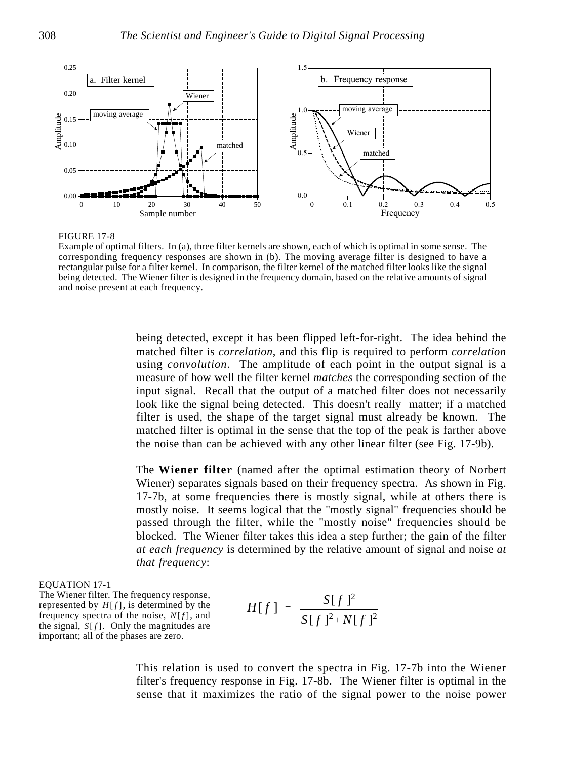

Example of optimal filters. In (a), three filter kernels are shown, each of which is optimal in some sense. The corresponding frequency responses are shown in (b). The moving average filter is designed to have a rectangular pulse for a filter kernel. In comparison, the filter kernel of the matched filter looks like the signal being detected. The Wiener filter is designed in the frequency domain, based on the relative amounts of signal and noise present at each frequency.

being detected, except it has been flipped left-for-right. The idea behind the matched filter is *correlation*, and this flip is required to perform *correlation* using *convolution*. The amplitude of each point in the output signal is a measure of how well the filter kernel *matches* the corresponding section of the input signal. Recall that the output of a matched filter does not necessarily look like the signal being detected. This doesn't really matter; if a matched filter is used, the shape of the target signal must already be known. The matched filter is optimal in the sense that the top of the peak is farther above the noise than can be achieved with any other linear filter (see Fig. 17-9b).

The **Wiener filter** (named after the optimal estimation theory of Norbert Wiener) separates signals based on their frequency spectra. As shown in Fig. 17-7b, at some frequencies there is mostly signal, while at others there is mostly noise. It seems logical that the "mostly signal" frequencies should be passed through the filter, while the "mostly noise" frequencies should be blocked. The Wiener filter takes this idea a step further; the gain of the filter *at each frequency* is determined by the relative amount of signal and noise *at that frequency*:

#### EQUATION 17-1

The Wiener filter. The frequency response, represented by  $H[f]$ , is determined by the frequency spectra of the noise,  $N[f]$ , and the signal,  $S[f]$ . Only the magnitudes are important; all of the phases are zero.

$$
H[f] = \frac{S[f]^2}{S[f]^2 + N[f]^2}
$$

This relation is used to convert the spectra in Fig. 17-7b into the Wiener filter's frequency response in Fig. 17-8b. The Wiener filter is optimal in the sense that it maximizes the ratio of the signal power to the noise power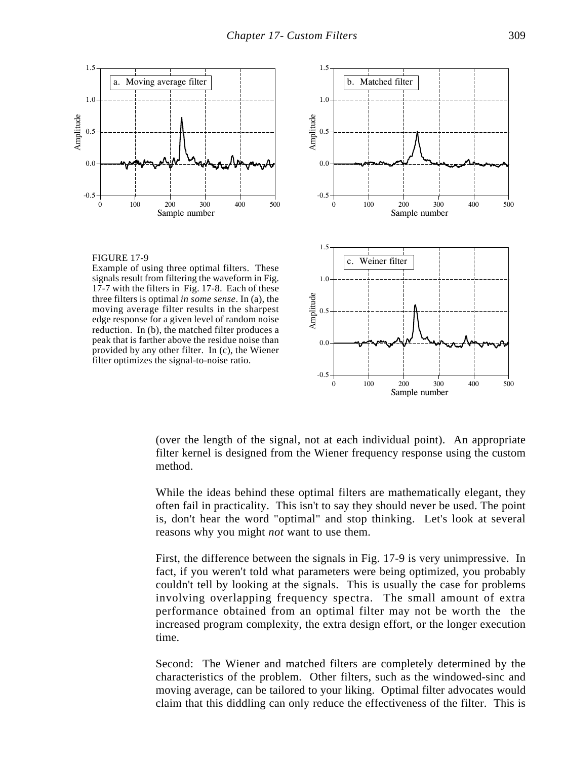

Example of using three optimal filters. These signals result from filtering the waveform in Fig. 17-7 with the filters in Fig. 17-8. Each of these three filters is optimal *in some sense*. In (a), the moving average filter results in the sharpest edge response for a given level of random noise reduction. In (b), the matched filter produces a peak that is farther above the residue noise than provided by any other filter. In (c), the Wiener filter optimizes the signal-to-noise ratio.



(over the length of the signal, not at each individual point). An appropriate filter kernel is designed from the Wiener frequency response using the custom method.

While the ideas behind these optimal filters are mathematically elegant, they often fail in practicality. This isn't to say they should never be used. The point is, don't hear the word "optimal" and stop thinking. Let's look at several reasons why you might *not* want to use them.

First, the difference between the signals in Fig. 17-9 is very unimpressive. In fact, if you weren't told what parameters were being optimized, you probably couldn't tell by looking at the signals. This is usually the case for problems involving overlapping frequency spectra. The small amount of extra performance obtained from an optimal filter may not be worth the the increased program complexity, the extra design effort, or the longer execution time.

Second: The Wiener and matched filters are completely determined by the characteristics of the problem. Other filters, such as the windowed-sinc and moving average, can be tailored to your liking. Optimal filter advocates would claim that this diddling can only reduce the effectiveness of the filter. This is